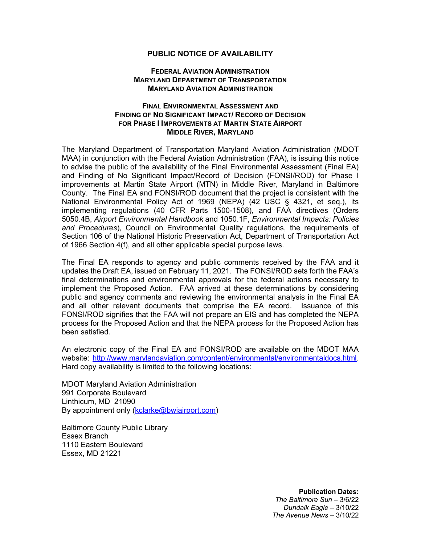## **PUBLIC NOTICE OF AVAILABILITY**

## **FEDERAL AVIATION ADMINISTRATION MARYLAND DEPARTMENT OF TRANSPORTATION MARYLAND AVIATION ADMINISTRATION**

## **FINAL ENVIRONMENTAL ASSESSMENT AND FINDING OF NO SIGNIFICANT IMPACT/ RECORD OF DECISION FOR PHASE I IMPROVEMENTS AT MARTIN STATE AIRPORT MIDDLE RIVER, MARYLAND**

The Maryland Department of Transportation Maryland Aviation Administration (MDOT MAA) in conjunction with the Federal Aviation Administration (FAA), is issuing this notice to advise the public of the availability of the Final Environmental Assessment (Final EA) and Finding of No Significant Impact/Record of Decision (FONSI/ROD) for Phase I improvements at Martin State Airport (MTN) in Middle River, Maryland in Baltimore County. The Final EA and FONSI/ROD document that the project is consistent with the National Environmental Policy Act of 1969 (NEPA) (42 USC § 4321, et seq.), its implementing regulations (40 CFR Parts 1500-1508), and FAA directives (Orders 5050.4B, *Airport Environmental Handbook* and 1050.1F, *Environmental Impacts: Policies and Procedures*), Council on Environmental Quality regulations, the requirements of Section 106 of the National Historic Preservation Act, Department of Transportation Act of 1966 Section 4(f), and all other applicable special purpose laws.

The Final EA responds to agency and public comments received by the FAA and it updates the Draft EA, issued on February 11, 2021. The FONSI/ROD sets forth the FAA's final determinations and environmental approvals for the federal actions necessary to implement the Proposed Action. FAA arrived at these determinations by considering public and agency comments and reviewing the environmental analysis in the Final EA and all other relevant documents that comprise the EA record. Issuance of this FONSI/ROD signifies that the FAA will not prepare an EIS and has completed the NEPA process for the Proposed Action and that the NEPA process for the Proposed Action has been satisfied.

An electronic copy of the Final EA and FONSI/ROD are available on the MDOT MAA website: [http://www.marylandaviation.com/content/environmental/environmentaldocs.html.](http://www.marylandaviation.com/content/environmental/environmentaldocs.html) Hard copy availability is limited to the following locations:

MDOT Maryland Aviation Administration 991 Corporate Boulevard Linthicum, MD 21090 By appointment only [\(kclarke@bwiairport.com\)](mailto:kclarke@bwiairport.com)

Baltimore County Public Library Essex Branch 1110 Eastern Boulevard Essex, MD 21221

> **Publication Dates:** *The Baltimore Sun* – 3/6/22 *Dundalk Eagle* – 3/10/22 *The Avenue News* – 3/10/22